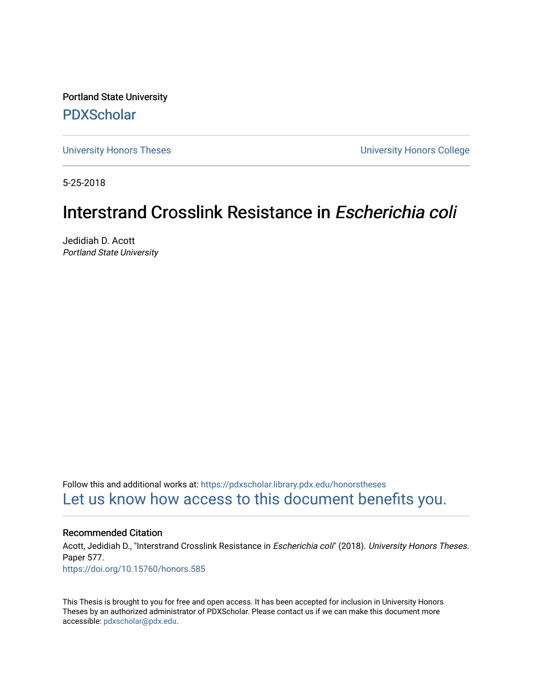Portland State University [PDXScholar](https://pdxscholar.library.pdx.edu/)

[University Honors Theses](https://pdxscholar.library.pdx.edu/honorstheses) [University Honors College](https://pdxscholar.library.pdx.edu/honors) 

5-25-2018

# Interstrand Crosslink Resistance in Escherichia coli

Jedidiah D. Acott Portland State University

Follow this and additional works at: [https://pdxscholar.library.pdx.edu/honorstheses](https://pdxscholar.library.pdx.edu/honorstheses?utm_source=pdxscholar.library.pdx.edu%2Fhonorstheses%2F577&utm_medium=PDF&utm_campaign=PDFCoverPages)  [Let us know how access to this document benefits you.](http://library.pdx.edu/services/pdxscholar-services/pdxscholar-feedback/) 

#### Recommended Citation

Acott, Jedidiah D., "Interstrand Crosslink Resistance in Escherichia coli" (2018). University Honors Theses. Paper 577. <https://doi.org/10.15760/honors.585>

This Thesis is brought to you for free and open access. It has been accepted for inclusion in University Honors Theses by an authorized administrator of PDXScholar. Please contact us if we can make this document more accessible: [pdxscholar@pdx.edu.](mailto:pdxscholar@pdx.edu)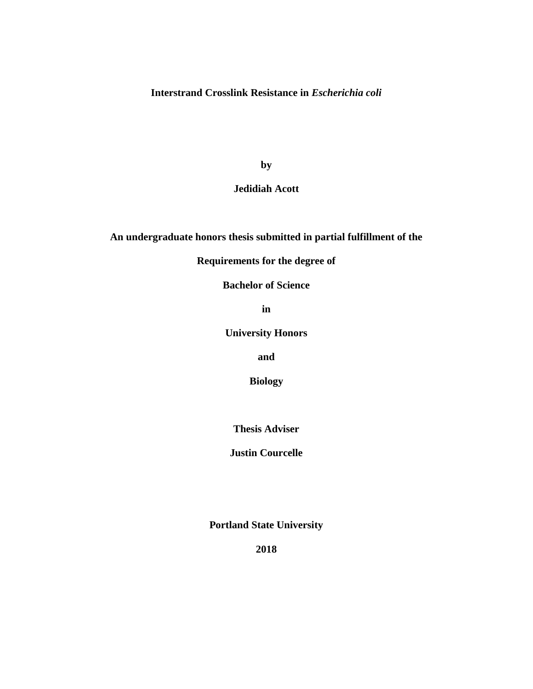**Interstrand Crosslink Resistance in** *Escherichia coli*

**by**

### **Jedidiah Acott**

## **An undergraduate honors thesis submitted in partial fulfillment of the**

## **Requirements for the degree of**

**Bachelor of Science**

**in**

**University Honors**

**and**

**Biology**

**Thesis Adviser**

**Justin Courcelle**

**Portland State University**

**2018**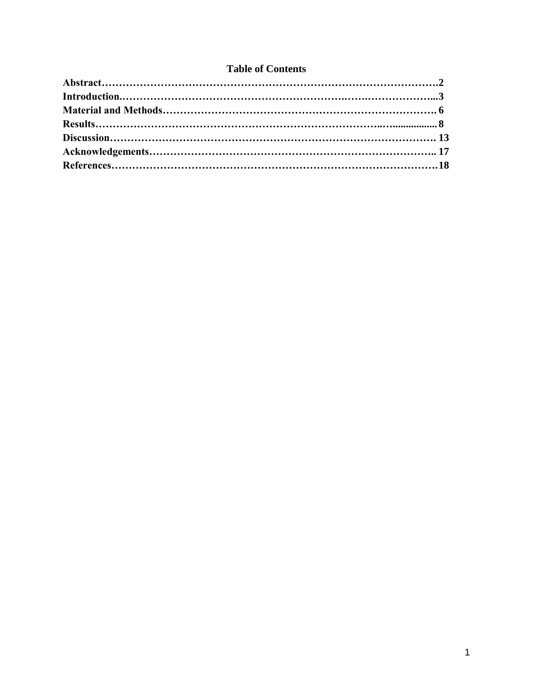## **Table of Contents**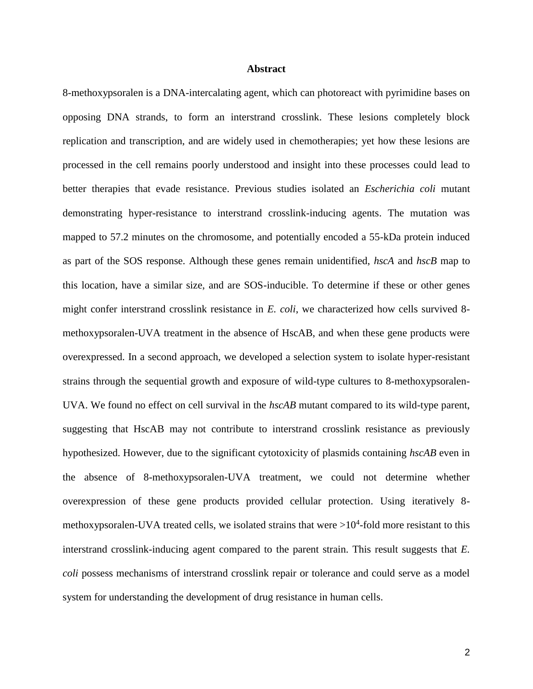#### **Abstract**

8-methoxypsoralen is a DNA-intercalating agent, which can photoreact with pyrimidine bases on opposing DNA strands, to form an interstrand crosslink. These lesions completely block replication and transcription, and are widely used in chemotherapies; yet how these lesions are processed in the cell remains poorly understood and insight into these processes could lead to better therapies that evade resistance. Previous studies isolated an *Escherichia coli* mutant demonstrating hyper-resistance to interstrand crosslink-inducing agents. The mutation was mapped to 57.2 minutes on the chromosome, and potentially encoded a 55-kDa protein induced as part of the SOS response. Although these genes remain unidentified, *hscA* and *hscB* map to this location, have a similar size, and are SOS-inducible. To determine if these or other genes might confer interstrand crosslink resistance in *E. coli*, we characterized how cells survived 8 methoxypsoralen-UVA treatment in the absence of HscAB, and when these gene products were overexpressed. In a second approach, we developed a selection system to isolate hyper-resistant strains through the sequential growth and exposure of wild-type cultures to 8-methoxypsoralen-UVA. We found no effect on cell survival in the *hscAB* mutant compared to its wild-type parent, suggesting that HscAB may not contribute to interstrand crosslink resistance as previously hypothesized. However, due to the significant cytotoxicity of plasmids containing *hscAB* even in the absence of 8-methoxypsoralen-UVA treatment, we could not determine whether overexpression of these gene products provided cellular protection. Using iteratively 8 methoxypsoralen-UVA treated cells, we isolated strains that were  $>10^4$ -fold more resistant to this interstrand crosslink-inducing agent compared to the parent strain. This result suggests that *E. coli* possess mechanisms of interstrand crosslink repair or tolerance and could serve as a model system for understanding the development of drug resistance in human cells.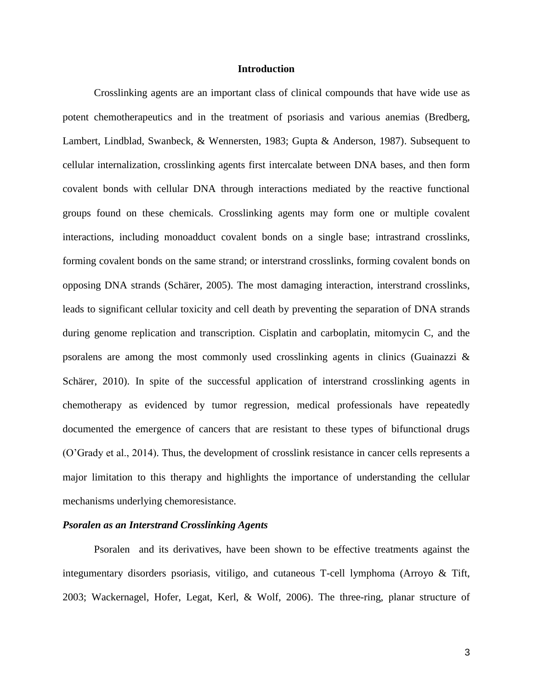#### **Introduction**

Crosslinking agents are an important class of clinical compounds that have wide use as potent chemotherapeutics and in the treatment of psoriasis and various anemias (Bredberg, Lambert, Lindblad, Swanbeck, & Wennersten, 1983; Gupta & Anderson, 1987). Subsequent to cellular internalization, crosslinking agents first intercalate between DNA bases, and then form covalent bonds with cellular DNA through interactions mediated by the reactive functional groups found on these chemicals. Crosslinking agents may form one or multiple covalent interactions, including monoadduct covalent bonds on a single base; intrastrand crosslinks, forming covalent bonds on the same strand; or interstrand crosslinks, forming covalent bonds on opposing DNA strands (Schärer, 2005). The most damaging interaction, interstrand crosslinks, leads to significant cellular toxicity and cell death by preventing the separation of DNA strands during genome replication and transcription. Cisplatin and carboplatin, mitomycin C, and the psoralens are among the most commonly used crosslinking agents in clinics (Guainazzi & Schärer, 2010). In spite of the successful application of interstrand crosslinking agents in chemotherapy as evidenced by tumor regression, medical professionals have repeatedly documented the emergence of cancers that are resistant to these types of bifunctional drugs (O'Grady et al., 2014). Thus, the development of crosslink resistance in cancer cells represents a major limitation to this therapy and highlights the importance of understanding the cellular mechanisms underlying chemoresistance.

#### *Psoralen as an Interstrand Crosslinking Agents*

Psoralen and its derivatives, have been shown to be effective treatments against the integumentary disorders psoriasis, vitiligo, and cutaneous T-cell lymphoma (Arroyo & Tift, 2003; Wackernagel, Hofer, Legat, Kerl, & Wolf, 2006). The three-ring, planar structure of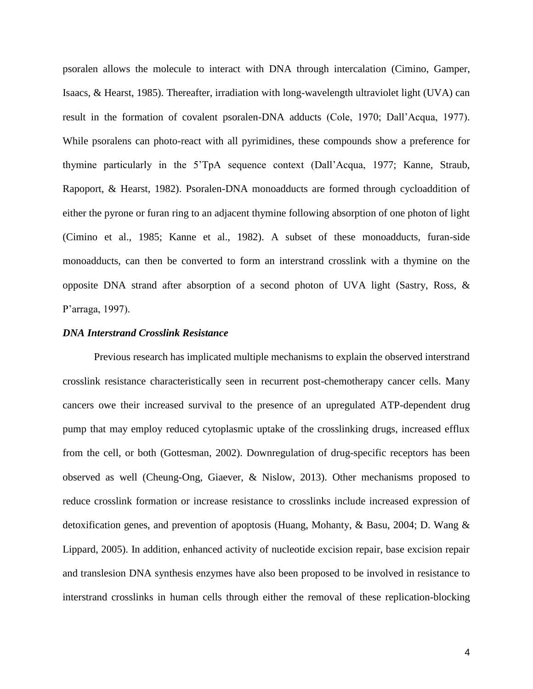psoralen allows the molecule to interact with DNA through intercalation (Cimino, Gamper, Isaacs, & Hearst, 1985). Thereafter, irradiation with long-wavelength ultraviolet light (UVA) can result in the formation of covalent psoralen-DNA adducts (Cole, 1970; Dall'Acqua, 1977). While psoralens can photo-react with all pyrimidines, these compounds show a preference for thymine particularly in the 5'TpA sequence context (Dall'Acqua, 1977; Kanne, Straub, Rapoport, & Hearst, 1982). Psoralen-DNA monoadducts are formed through cycloaddition of either the pyrone or furan ring to an adjacent thymine following absorption of one photon of light (Cimino et al., 1985; Kanne et al., 1982). A subset of these monoadducts, furan-side monoadducts, can then be converted to form an interstrand crosslink with a thymine on the opposite DNA strand after absorption of a second photon of UVA light (Sastry, Ross, & P'arraga, 1997).

#### *DNA Interstrand Crosslink Resistance*

Previous research has implicated multiple mechanisms to explain the observed interstrand crosslink resistance characteristically seen in recurrent post-chemotherapy cancer cells. Many cancers owe their increased survival to the presence of an upregulated ATP-dependent drug pump that may employ reduced cytoplasmic uptake of the crosslinking drugs, increased efflux from the cell, or both (Gottesman, 2002). Downregulation of drug-specific receptors has been observed as well (Cheung-Ong, Giaever, & Nislow, 2013). Other mechanisms proposed to reduce crosslink formation or increase resistance to crosslinks include increased expression of detoxification genes, and prevention of apoptosis (Huang, Mohanty, & Basu, 2004; D. Wang & Lippard, 2005). In addition, enhanced activity of nucleotide excision repair, base excision repair and translesion DNA synthesis enzymes have also been proposed to be involved in resistance to interstrand crosslinks in human cells through either the removal of these replication-blocking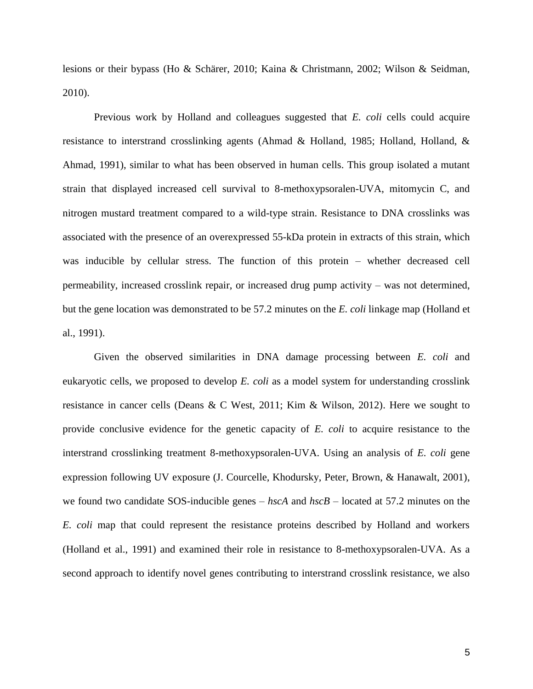lesions or their bypass (Ho & Schärer, 2010; Kaina & Christmann, 2002; Wilson & Seidman, 2010).

Previous work by Holland and colleagues suggested that *E. coli* cells could acquire resistance to interstrand crosslinking agents (Ahmad & Holland, 1985; Holland, Holland, & Ahmad, 1991), similar to what has been observed in human cells. This group isolated a mutant strain that displayed increased cell survival to 8-methoxypsoralen-UVA, mitomycin C, and nitrogen mustard treatment compared to a wild-type strain. Resistance to DNA crosslinks was associated with the presence of an overexpressed 55-kDa protein in extracts of this strain, which was inducible by cellular stress. The function of this protein – whether decreased cell permeability, increased crosslink repair, or increased drug pump activity – was not determined, but the gene location was demonstrated to be 57.2 minutes on the *E. coli* linkage map (Holland et al., 1991).

Given the observed similarities in DNA damage processing between *E. coli* and eukaryotic cells, we proposed to develop *E. coli* as a model system for understanding crosslink resistance in cancer cells (Deans & C West, 2011; Kim & Wilson, 2012). Here we sought to provide conclusive evidence for the genetic capacity of *E. coli* to acquire resistance to the interstrand crosslinking treatment 8-methoxypsoralen-UVA. Using an analysis of *E. coli* gene expression following UV exposure (J. Courcelle, Khodursky, Peter, Brown, & Hanawalt, 2001), we found two candidate SOS-inducible genes – *hscA* and *hscB* – located at 57.2 minutes on the *E. coli* map that could represent the resistance proteins described by Holland and workers (Holland et al., 1991) and examined their role in resistance to 8-methoxypsoralen-UVA. As a second approach to identify novel genes contributing to interstrand crosslink resistance, we also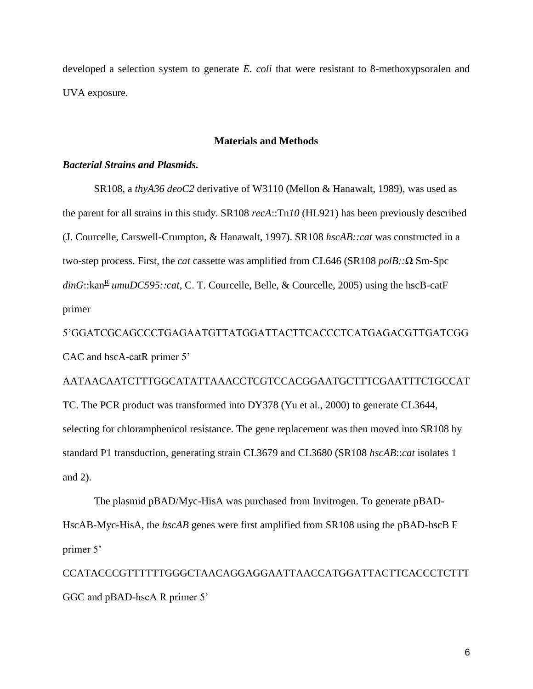developed a selection system to generate *E. coli* that were resistant to 8-methoxypsoralen and UVA exposure.

#### **Materials and Methods**

#### *Bacterial Strains and Plasmids.*

SR108, a *thyA36 deoC2* derivative of W3110 (Mellon & Hanawalt, 1989), was used as the parent for all strains in this study. SR108 *recA*::Tn*10* (HL921) has been previously described (J. Courcelle, Carswell-Crumpton, & Hanawalt, 1997). SR108 *hscAB::cat* was constructed in a two-step process. First, the *cat* cassette was amplified from CL646 (SR108 *polB::*Ω Sm-Spc dinG::kan<sup>R</sup> umuDC595::cat, C. T. Courcelle, Belle, & Courcelle, 2005) using the hscB-catF primer

5'GGATCGCAGCCCTGAGAATGTTATGGATTACTTCACCCTCATGAGACGTTGATCGG CAC and hscA-catR primer 5'

AATAACAATCTTTGGCATATTAAACCTCGTCCACGGAATGCTTTCGAATTTCTGCCAT TC. The PCR product was transformed into DY378 (Yu et al., 2000) to generate CL3644, selecting for chloramphenicol resistance. The gene replacement was then moved into SR108 by standard P1 transduction, generating strain CL3679 and CL3680 (SR108 *hscAB*::*cat* isolates 1 and 2).

The plasmid pBAD/Myc-HisA was purchased from Invitrogen. To generate pBAD-HscAB-Myc-HisA, the *hscAB* genes were first amplified from SR108 using the pBAD-hscB F primer 5'

CCATACCCGTTTTTTGGGCTAACAGGAGGAATTAACCATGGATTACTTCACCCTCTTT GGC and pBAD-hscA R primer 5'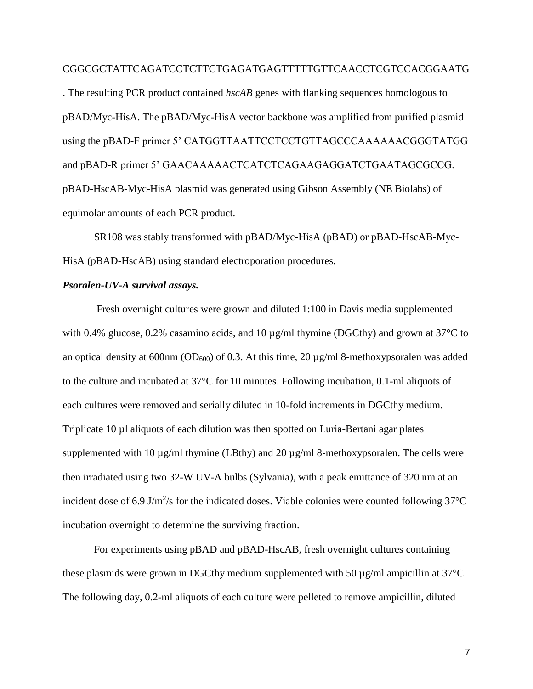#### CGGCGCTATTCAGATCCTCTTCTGAGATGAGTTTTTGTTCAACCTCGTCCACGGAATG

. The resulting PCR product contained *hscAB* genes with flanking sequences homologous to pBAD/Myc-HisA. The pBAD/Myc-HisA vector backbone was amplified from purified plasmid using the pBAD-F primer 5' CATGGTTAATTCCTCCTGTTAGCCCAAAAAACGGGTATGG and pBAD-R primer 5' GAACAAAAACTCATCTCAGAAGAGGATCTGAATAGCGCCG. pBAD-HscAB-Myc-HisA plasmid was generated using Gibson Assembly (NE Biolabs) of equimolar amounts of each PCR product.

SR108 was stably transformed with pBAD/Myc-HisA (pBAD) or pBAD-HscAB-Myc-HisA (pBAD-HscAB) using standard electroporation procedures.

#### *Psoralen-UV-A survival assays.*

Fresh overnight cultures were grown and diluted 1:100 in Davis media supplemented with 0.4% glucose, 0.2% casamino acids, and 10  $\mu$ g/ml thymine (DGCthy) and grown at 37<sup>o</sup>C to an optical density at 600nm ( $OD_{600}$ ) of 0.3. At this time, 20  $\mu$ g/ml 8-methoxypsoralen was added to the culture and incubated at 37°C for 10 minutes. Following incubation, 0.1-ml aliquots of each cultures were removed and serially diluted in 10-fold increments in DGCthy medium. Triplicate 10 µl aliquots of each dilution was then spotted on Luria-Bertani agar plates supplemented with 10  $\mu$ g/ml thymine (LBthy) and 20  $\mu$ g/ml 8-methoxypsoralen. The cells were then irradiated using two 32-W UV-A bulbs (Sylvania), with a peak emittance of 320 nm at an incident dose of 6.9 J/m<sup>2</sup>/s for the indicated doses. Viable colonies were counted following  $37^{\circ}$ C incubation overnight to determine the surviving fraction.

For experiments using pBAD and pBAD-HscAB, fresh overnight cultures containing these plasmids were grown in DGCthy medium supplemented with 50 µg/ml ampicillin at 37°C. The following day, 0.2-ml aliquots of each culture were pelleted to remove ampicillin, diluted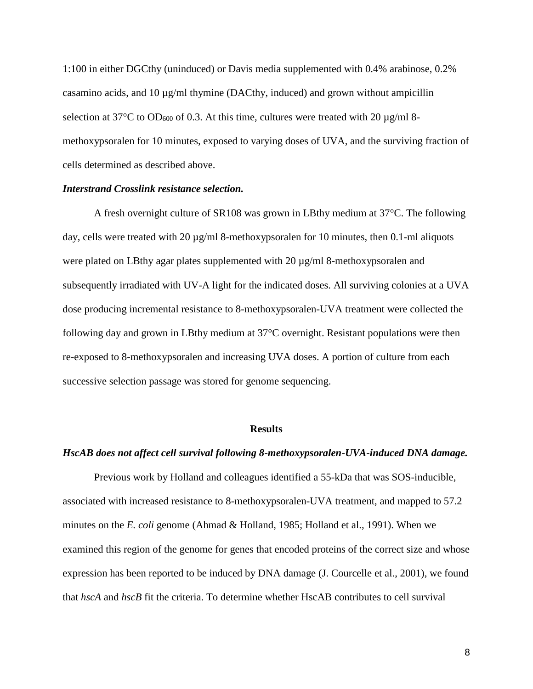1:100 in either DGCthy (uninduced) or Davis media supplemented with 0.4% arabinose, 0.2% casamino acids, and  $10 \mu g/ml$  thymine (DACthy, induced) and grown without ampicillin selection at  $37^{\circ}$ C to OD<sub>600</sub> of 0.3. At this time, cultures were treated with 20  $\mu$ g/ml 8methoxypsoralen for 10 minutes, exposed to varying doses of UVA, and the surviving fraction of cells determined as described above.

#### *Interstrand Crosslink resistance selection.*

A fresh overnight culture of SR108 was grown in LBthy medium at 37°C. The following day, cells were treated with 20  $\mu$ g/ml 8-methoxypsoralen for 10 minutes, then 0.1-ml aliquots were plated on LBthy agar plates supplemented with 20  $\mu$ g/ml 8-methoxypsoralen and subsequently irradiated with UV-A light for the indicated doses. All surviving colonies at a UVA dose producing incremental resistance to 8-methoxypsoralen-UVA treatment were collected the following day and grown in LBthy medium at 37°C overnight. Resistant populations were then re-exposed to 8-methoxypsoralen and increasing UVA doses. A portion of culture from each successive selection passage was stored for genome sequencing.

#### **Results**

#### *HscAB does not affect cell survival following 8-methoxypsoralen-UVA-induced DNA damage.*

Previous work by Holland and colleagues identified a 55-kDa that was SOS-inducible, associated with increased resistance to 8-methoxypsoralen-UVA treatment, and mapped to 57.2 minutes on the *E. coli* genome (Ahmad & Holland, 1985; Holland et al., 1991). When we examined this region of the genome for genes that encoded proteins of the correct size and whose expression has been reported to be induced by DNA damage (J. Courcelle et al., 2001), we found that *hscA* and *hscB* fit the criteria. To determine whether HscAB contributes to cell survival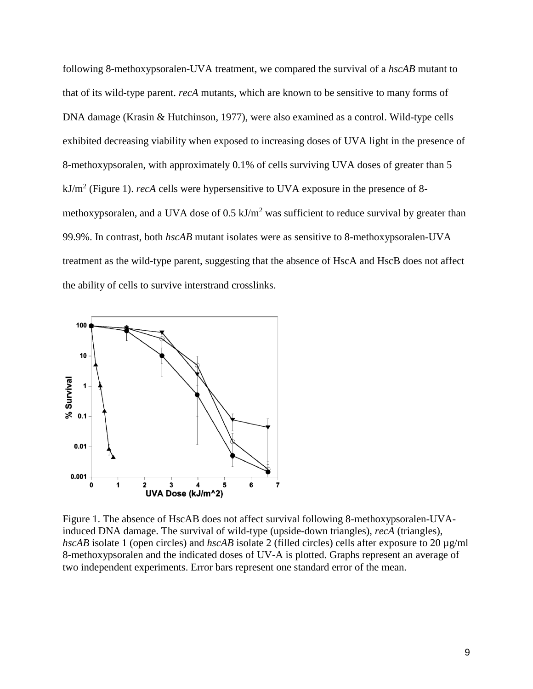following 8-methoxypsoralen-UVA treatment, we compared the survival of a *hscAB* mutant to that of its wild-type parent. *recA* mutants, which are known to be sensitive to many forms of DNA damage (Krasin & Hutchinson, 1977), were also examined as a control. Wild-type cells exhibited decreasing viability when exposed to increasing doses of UVA light in the presence of 8-methoxypsoralen, with approximately 0.1% of cells surviving UVA doses of greater than 5 kJ/m<sup>2</sup> (Figure 1). *recA* cells were hypersensitive to UVA exposure in the presence of 8 methoxypsoralen, and a UVA dose of  $0.5 \text{ kJ/m}^2$  was sufficient to reduce survival by greater than 99.9%. In contrast, both *hscAB* mutant isolates were as sensitive to 8-methoxypsoralen-UVA treatment as the wild-type parent, suggesting that the absence of HscA and HscB does not affect the ability of cells to survive interstrand crosslinks.



Figure 1. The absence of HscAB does not affect survival following 8-methoxypsoralen-UVAinduced DNA damage. The survival of wild-type (upside-down triangles), *recA* (triangles), *hscAB* isolate 1 (open circles) and *hscAB* isolate 2 (filled circles) cells after exposure to 20  $\mu$ g/ml 8-methoxypsoralen and the indicated doses of UV-A is plotted. Graphs represent an average of two independent experiments. Error bars represent one standard error of the mean.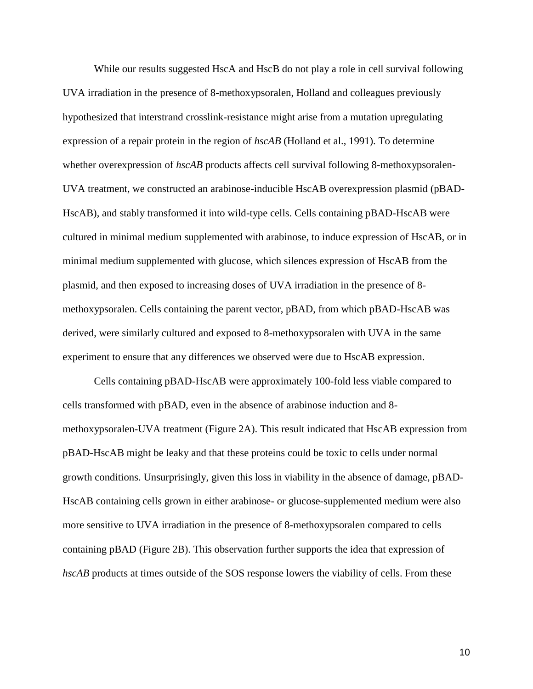While our results suggested HscA and HscB do not play a role in cell survival following UVA irradiation in the presence of 8-methoxypsoralen, Holland and colleagues previously hypothesized that interstrand crosslink-resistance might arise from a mutation upregulating expression of a repair protein in the region of *hscAB* (Holland et al., 1991). To determine whether overexpression of *hscAB* products affects cell survival following 8-methoxypsoralen-UVA treatment, we constructed an arabinose-inducible HscAB overexpression plasmid (pBAD-HscAB), and stably transformed it into wild-type cells. Cells containing pBAD-HscAB were cultured in minimal medium supplemented with arabinose, to induce expression of HscAB, or in minimal medium supplemented with glucose, which silences expression of HscAB from the plasmid, and then exposed to increasing doses of UVA irradiation in the presence of 8 methoxypsoralen. Cells containing the parent vector, pBAD, from which pBAD-HscAB was derived, were similarly cultured and exposed to 8-methoxypsoralen with UVA in the same experiment to ensure that any differences we observed were due to HscAB expression.

Cells containing pBAD-HscAB were approximately 100-fold less viable compared to cells transformed with pBAD, even in the absence of arabinose induction and 8 methoxypsoralen-UVA treatment (Figure 2A). This result indicated that HscAB expression from pBAD-HscAB might be leaky and that these proteins could be toxic to cells under normal growth conditions. Unsurprisingly, given this loss in viability in the absence of damage, pBAD-HscAB containing cells grown in either arabinose- or glucose-supplemented medium were also more sensitive to UVA irradiation in the presence of 8-methoxypsoralen compared to cells containing pBAD (Figure 2B). This observation further supports the idea that expression of *hscAB* products at times outside of the SOS response lowers the viability of cells. From these

10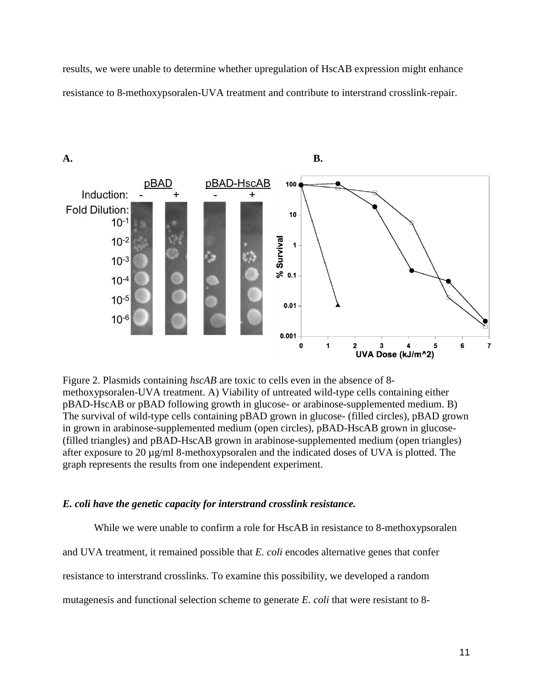results, we were unable to determine whether upregulation of HscAB expression might enhance resistance to 8-methoxypsoralen-UVA treatment and contribute to interstrand crosslink-repair.



Figure 2. Plasmids containing *hscAB* are toxic to cells even in the absence of 8 methoxypsoralen-UVA treatment. A) Viability of untreated wild-type cells containing either pBAD-HscAB or pBAD following growth in glucose- or arabinose-supplemented medium. B) The survival of wild-type cells containing pBAD grown in glucose- (filled circles), pBAD grown in grown in arabinose-supplemented medium (open circles), pBAD-HscAB grown in glucose- (filled triangles) and pBAD-HscAB grown in arabinose-supplemented medium (open triangles) after exposure to 20 µg/ml 8-methoxypsoralen and the indicated doses of UVA is plotted. The graph represents the results from one independent experiment.

#### *E. coli have the genetic capacity for interstrand crosslink resistance.*

While we were unable to confirm a role for HscAB in resistance to 8-methoxypsoralen and UVA treatment, it remained possible that *E. coli* encodes alternative genes that confer resistance to interstrand crosslinks. To examine this possibility, we developed a random mutagenesis and functional selection scheme to generate *E. coli* that were resistant to 8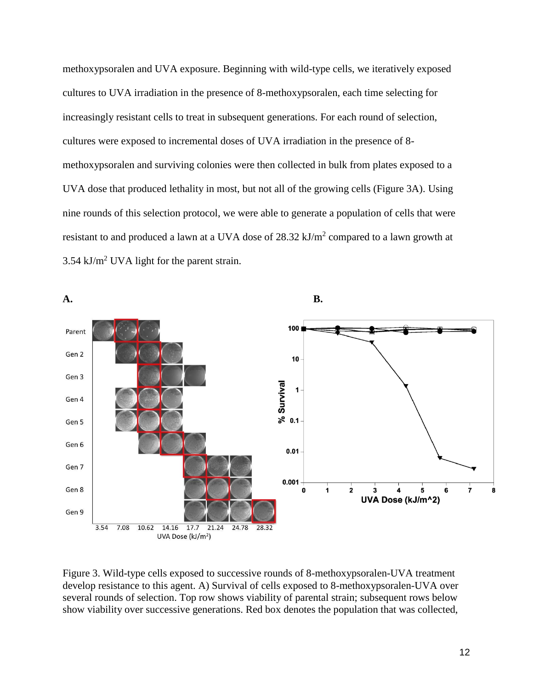methoxypsoralen and UVA exposure. Beginning with wild-type cells, we iteratively exposed cultures to UVA irradiation in the presence of 8-methoxypsoralen, each time selecting for increasingly resistant cells to treat in subsequent generations. For each round of selection, cultures were exposed to incremental doses of UVA irradiation in the presence of 8 methoxypsoralen and surviving colonies were then collected in bulk from plates exposed to a UVA dose that produced lethality in most, but not all of the growing cells (Figure 3A). Using nine rounds of this selection protocol, we were able to generate a population of cells that were resistant to and produced a lawn at a UVA dose of  $28.32 \text{ kJ/m}^2$  compared to a lawn growth at  $3.54 \text{ kJ/m}^2$  UVA light for the parent strain.



Figure 3. Wild-type cells exposed to successive rounds of 8-methoxypsoralen-UVA treatment develop resistance to this agent. A) Survival of cells exposed to 8-methoxypsoralen-UVA over several rounds of selection. Top row shows viability of parental strain; subsequent rows below show viability over successive generations. Red box denotes the population that was collected,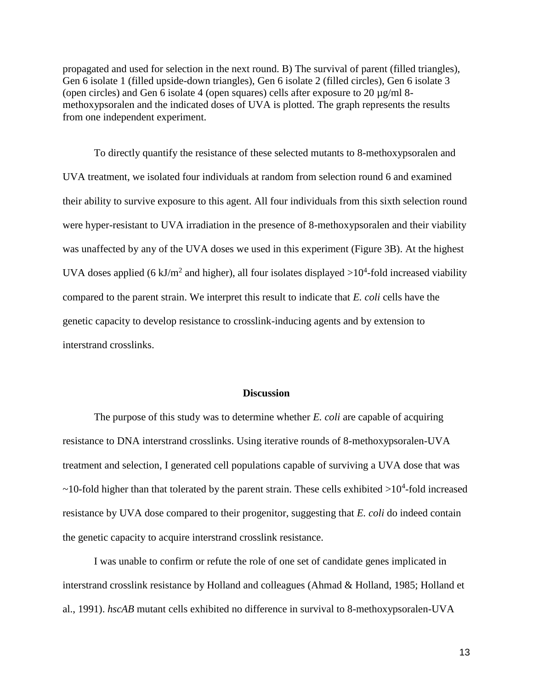propagated and used for selection in the next round. B) The survival of parent (filled triangles), Gen 6 isolate 1 (filled upside-down triangles), Gen 6 isolate 2 (filled circles), Gen 6 isolate 3 (open circles) and Gen 6 isolate 4 (open squares) cells after exposure to 20 µg/ml 8 methoxypsoralen and the indicated doses of UVA is plotted. The graph represents the results from one independent experiment.

To directly quantify the resistance of these selected mutants to 8-methoxypsoralen and UVA treatment, we isolated four individuals at random from selection round 6 and examined their ability to survive exposure to this agent. All four individuals from this sixth selection round were hyper-resistant to UVA irradiation in the presence of 8-methoxypsoralen and their viability was unaffected by any of the UVA doses we used in this experiment (Figure 3B). At the highest UVA doses applied (6 kJ/m<sup>2</sup> and higher), all four isolates displayed  $>10^4$ -fold increased viability compared to the parent strain. We interpret this result to indicate that *E. coli* cells have the genetic capacity to develop resistance to crosslink-inducing agents and by extension to interstrand crosslinks.

#### **Discussion**

The purpose of this study was to determine whether *E. coli* are capable of acquiring resistance to DNA interstrand crosslinks. Using iterative rounds of 8-methoxypsoralen-UVA treatment and selection, I generated cell populations capable of surviving a UVA dose that was  $\sim$ 10-fold higher than that tolerated by the parent strain. These cells exhibited  $>$ 10<sup>4</sup>-fold increased resistance by UVA dose compared to their progenitor, suggesting that *E. coli* do indeed contain the genetic capacity to acquire interstrand crosslink resistance.

I was unable to confirm or refute the role of one set of candidate genes implicated in interstrand crosslink resistance by Holland and colleagues (Ahmad & Holland, 1985; Holland et al., 1991). *hscAB* mutant cells exhibited no difference in survival to 8-methoxypsoralen-UVA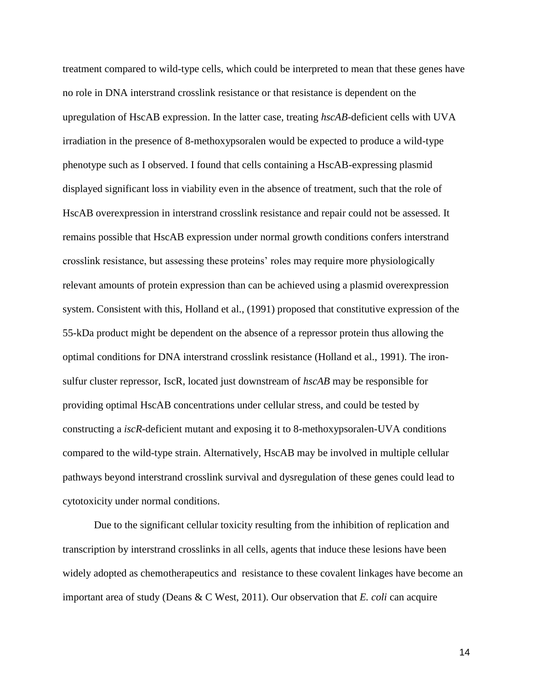treatment compared to wild-type cells, which could be interpreted to mean that these genes have no role in DNA interstrand crosslink resistance or that resistance is dependent on the upregulation of HscAB expression. In the latter case, treating *hscAB*-deficient cells with UVA irradiation in the presence of 8-methoxypsoralen would be expected to produce a wild-type phenotype such as I observed. I found that cells containing a HscAB-expressing plasmid displayed significant loss in viability even in the absence of treatment, such that the role of HscAB overexpression in interstrand crosslink resistance and repair could not be assessed. It remains possible that HscAB expression under normal growth conditions confers interstrand crosslink resistance, but assessing these proteins' roles may require more physiologically relevant amounts of protein expression than can be achieved using a plasmid overexpression system. Consistent with this, Holland et al., (1991) proposed that constitutive expression of the 55-kDa product might be dependent on the absence of a repressor protein thus allowing the optimal conditions for DNA interstrand crosslink resistance (Holland et al., 1991). The ironsulfur cluster repressor, IscR, located just downstream of *hscAB* may be responsible for providing optimal HscAB concentrations under cellular stress, and could be tested by constructing a *iscR*-deficient mutant and exposing it to 8-methoxypsoralen-UVA conditions compared to the wild-type strain. Alternatively, HscAB may be involved in multiple cellular pathways beyond interstrand crosslink survival and dysregulation of these genes could lead to cytotoxicity under normal conditions.

Due to the significant cellular toxicity resulting from the inhibition of replication and transcription by interstrand crosslinks in all cells, agents that induce these lesions have been widely adopted as chemotherapeutics and resistance to these covalent linkages have become an important area of study (Deans & C West, 2011). Our observation that *E. coli* can acquire

14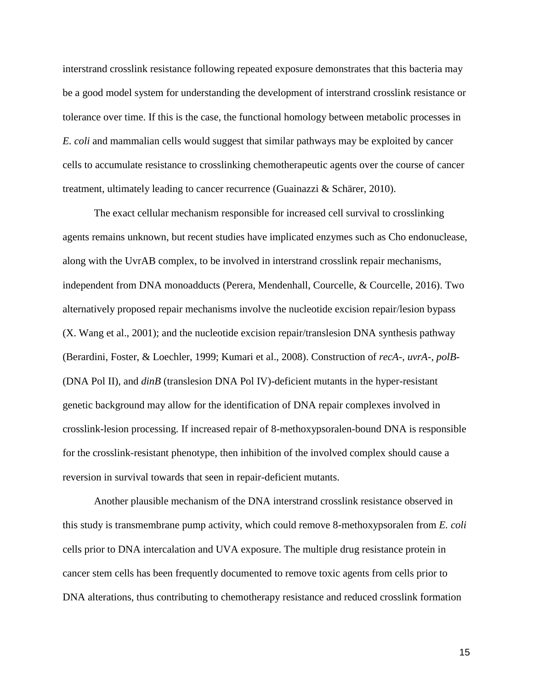interstrand crosslink resistance following repeated exposure demonstrates that this bacteria may be a good model system for understanding the development of interstrand crosslink resistance or tolerance over time. If this is the case, the functional homology between metabolic processes in *E. coli* and mammalian cells would suggest that similar pathways may be exploited by cancer cells to accumulate resistance to crosslinking chemotherapeutic agents over the course of cancer treatment, ultimately leading to cancer recurrence (Guainazzi & Schärer, 2010).

The exact cellular mechanism responsible for increased cell survival to crosslinking agents remains unknown, but recent studies have implicated enzymes such as Cho endonuclease, along with the UvrAB complex, to be involved in interstrand crosslink repair mechanisms, independent from DNA monoadducts (Perera, Mendenhall, Courcelle, & Courcelle, 2016). Two alternatively proposed repair mechanisms involve the nucleotide excision repair/lesion bypass (X. Wang et al., 2001); and the nucleotide excision repair/translesion DNA synthesis pathway (Berardini, Foster, & Loechler, 1999; Kumari et al., 2008). Construction of *recA*-, *uvrA*-, *polB*- (DNA Pol II), and *dinB* (translesion DNA Pol IV)-deficient mutants in the hyper-resistant genetic background may allow for the identification of DNA repair complexes involved in crosslink-lesion processing. If increased repair of 8-methoxypsoralen-bound DNA is responsible for the crosslink-resistant phenotype, then inhibition of the involved complex should cause a reversion in survival towards that seen in repair-deficient mutants.

Another plausible mechanism of the DNA interstrand crosslink resistance observed in this study is transmembrane pump activity, which could remove 8-methoxypsoralen from *E. coli* cells prior to DNA intercalation and UVA exposure. The multiple drug resistance protein in cancer stem cells has been frequently documented to remove toxic agents from cells prior to DNA alterations, thus contributing to chemotherapy resistance and reduced crosslink formation

15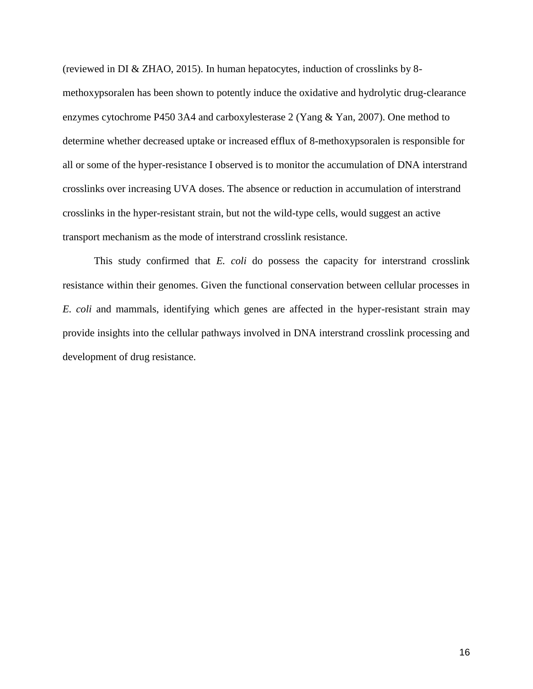(reviewed in DI & ZHAO, 2015). In human hepatocytes, induction of crosslinks by 8 methoxypsoralen has been shown to potently induce the oxidative and hydrolytic drug-clearance enzymes cytochrome P450 3A4 and carboxylesterase 2 (Yang & Yan, 2007). One method to determine whether decreased uptake or increased efflux of 8-methoxypsoralen is responsible for all or some of the hyper-resistance I observed is to monitor the accumulation of DNA interstrand crosslinks over increasing UVA doses. The absence or reduction in accumulation of interstrand crosslinks in the hyper-resistant strain, but not the wild-type cells, would suggest an active transport mechanism as the mode of interstrand crosslink resistance.

This study confirmed that *E. coli* do possess the capacity for interstrand crosslink resistance within their genomes. Given the functional conservation between cellular processes in *E. coli* and mammals, identifying which genes are affected in the hyper-resistant strain may provide insights into the cellular pathways involved in DNA interstrand crosslink processing and development of drug resistance.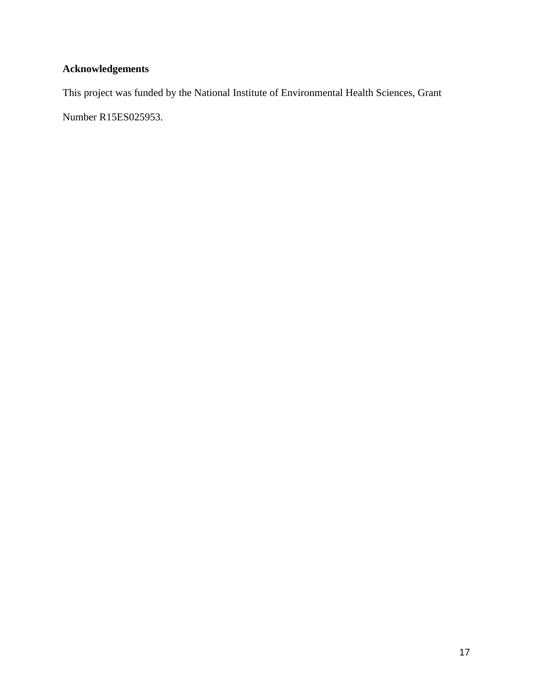## **Acknowledgements**

This project was funded by the National Institute of Environmental Health Sciences, Grant Number R15ES025953.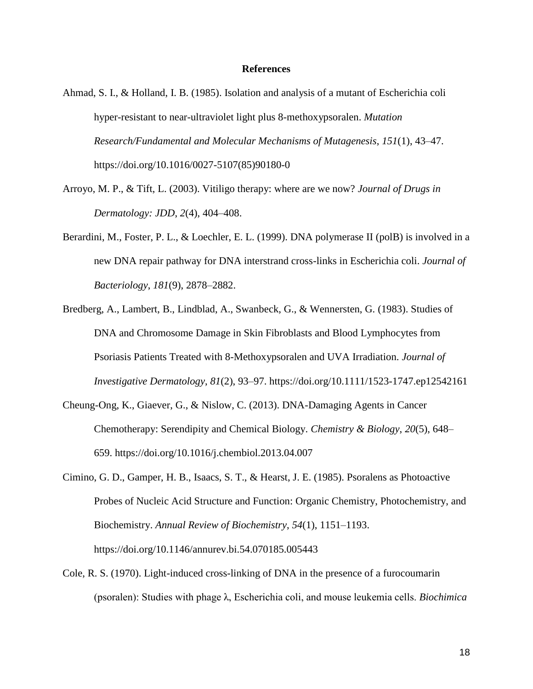#### **References**

- Ahmad, S. I., & Holland, I. B. (1985). Isolation and analysis of a mutant of Escherichia coli hyper-resistant to near-ultraviolet light plus 8-methoxypsoralen. *Mutation Research/Fundamental and Molecular Mechanisms of Mutagenesis*, *151*(1), 43–47. https://doi.org/10.1016/0027-5107(85)90180-0
- Arroyo, M. P., & Tift, L. (2003). Vitiligo therapy: where are we now? *Journal of Drugs in Dermatology: JDD*, *2*(4), 404–408.
- Berardini, M., Foster, P. L., & Loechler, E. L. (1999). DNA polymerase II (polB) is involved in a new DNA repair pathway for DNA interstrand cross-links in Escherichia coli. *Journal of Bacteriology*, *181*(9), 2878–2882.
- Bredberg, A., Lambert, B., Lindblad, A., Swanbeck, G., & Wennersten, G. (1983). Studies of DNA and Chromosome Damage in Skin Fibroblasts and Blood Lymphocytes from Psoriasis Patients Treated with 8-Methoxypsoralen and UVA Irradiation. *Journal of Investigative Dermatology*, *81*(2), 93–97. https://doi.org/10.1111/1523-1747.ep12542161
- Cheung-Ong, K., Giaever, G., & Nislow, C. (2013). DNA-Damaging Agents in Cancer Chemotherapy: Serendipity and Chemical Biology. *Chemistry & Biology*, *20*(5), 648– 659. https://doi.org/10.1016/j.chembiol.2013.04.007
- Cimino, G. D., Gamper, H. B., Isaacs, S. T., & Hearst, J. E. (1985). Psoralens as Photoactive Probes of Nucleic Acid Structure and Function: Organic Chemistry, Photochemistry, and Biochemistry. *Annual Review of Biochemistry*, *54*(1), 1151–1193. https://doi.org/10.1146/annurev.bi.54.070185.005443
- Cole, R. S. (1970). Light-induced cross-linking of DNA in the presence of a furocoumarin (psoralen): Studies with phage λ, Escherichia coli, and mouse leukemia cells. *Biochimica*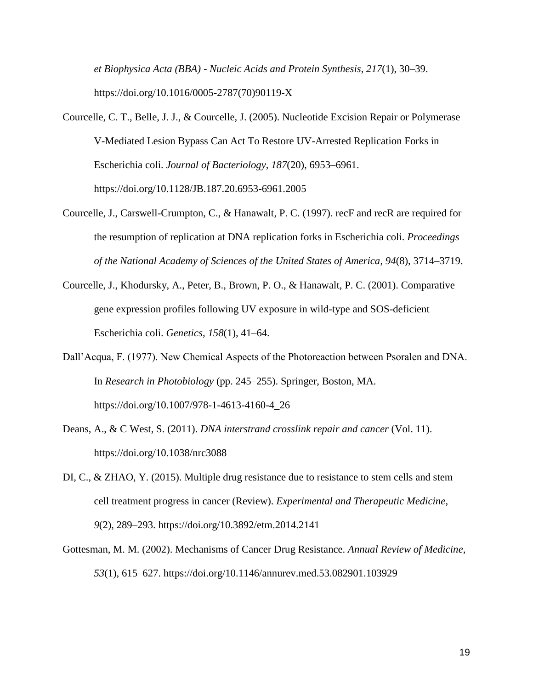*et Biophysica Acta (BBA) - Nucleic Acids and Protein Synthesis*, *217*(1), 30–39. https://doi.org/10.1016/0005-2787(70)90119-X

- Courcelle, C. T., Belle, J. J., & Courcelle, J. (2005). Nucleotide Excision Repair or Polymerase V-Mediated Lesion Bypass Can Act To Restore UV-Arrested Replication Forks in Escherichia coli. *Journal of Bacteriology*, *187*(20), 6953–6961. https://doi.org/10.1128/JB.187.20.6953-6961.2005
- Courcelle, J., Carswell-Crumpton, C., & Hanawalt, P. C. (1997). recF and recR are required for the resumption of replication at DNA replication forks in Escherichia coli. *Proceedings of the National Academy of Sciences of the United States of America*, *94*(8), 3714–3719.
- Courcelle, J., Khodursky, A., Peter, B., Brown, P. O., & Hanawalt, P. C. (2001). Comparative gene expression profiles following UV exposure in wild-type and SOS-deficient Escherichia coli. *Genetics*, *158*(1), 41–64.
- Dall'Acqua, F. (1977). New Chemical Aspects of the Photoreaction between Psoralen and DNA. In *Research in Photobiology* (pp. 245–255). Springer, Boston, MA. https://doi.org/10.1007/978-1-4613-4160-4\_26
- Deans, A., & C West, S. (2011). *DNA interstrand crosslink repair and cancer* (Vol. 11). https://doi.org/10.1038/nrc3088
- DI, C., & ZHAO, Y. (2015). Multiple drug resistance due to resistance to stem cells and stem cell treatment progress in cancer (Review). *Experimental and Therapeutic Medicine*, *9*(2), 289–293. https://doi.org/10.3892/etm.2014.2141
- Gottesman, M. M. (2002). Mechanisms of Cancer Drug Resistance. *Annual Review of Medicine*, *53*(1), 615–627. https://doi.org/10.1146/annurev.med.53.082901.103929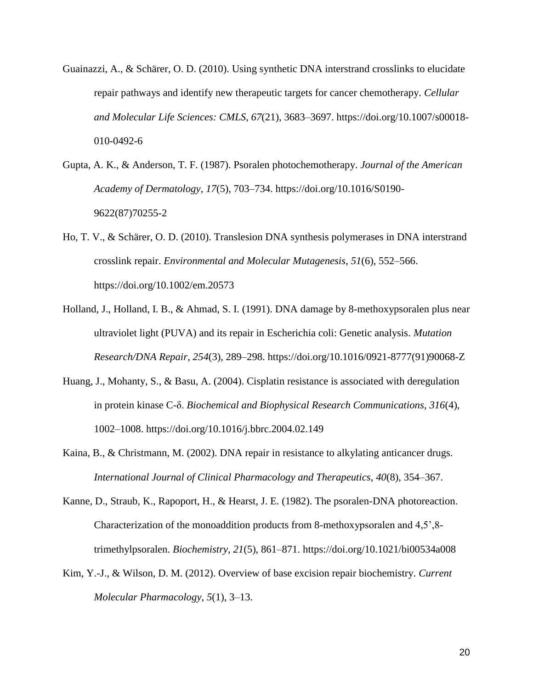- Guainazzi, A., & Schärer, O. D. (2010). Using synthetic DNA interstrand crosslinks to elucidate repair pathways and identify new therapeutic targets for cancer chemotherapy. *Cellular and Molecular Life Sciences: CMLS*, *67*(21), 3683–3697. https://doi.org/10.1007/s00018- 010-0492-6
- Gupta, A. K., & Anderson, T. F. (1987). Psoralen photochemotherapy. *Journal of the American Academy of Dermatology*, *17*(5), 703–734. https://doi.org/10.1016/S0190- 9622(87)70255-2
- Ho, T. V., & Schärer, O. D. (2010). Translesion DNA synthesis polymerases in DNA interstrand crosslink repair. *Environmental and Molecular Mutagenesis*, *51*(6), 552–566. https://doi.org/10.1002/em.20573
- Holland, J., Holland, I. B., & Ahmad, S. I. (1991). DNA damage by 8-methoxypsoralen plus near ultraviolet light (PUVA) and its repair in Escherichia coli: Genetic analysis. *Mutation Research/DNA Repair*, *254*(3), 289–298. https://doi.org/10.1016/0921-8777(91)90068-Z
- Huang, J., Mohanty, S., & Basu, A. (2004). Cisplatin resistance is associated with deregulation in protein kinase C-δ. *Biochemical and Biophysical Research Communications*, *316*(4), 1002–1008. https://doi.org/10.1016/j.bbrc.2004.02.149
- Kaina, B., & Christmann, M. (2002). DNA repair in resistance to alkylating anticancer drugs. *International Journal of Clinical Pharmacology and Therapeutics*, *40*(8), 354–367.
- Kanne, D., Straub, K., Rapoport, H., & Hearst, J. E. (1982). The psoralen-DNA photoreaction. Characterization of the monoaddition products from 8-methoxypsoralen and 4,5',8 trimethylpsoralen. *Biochemistry*, *21*(5), 861–871. https://doi.org/10.1021/bi00534a008
- Kim, Y.-J., & Wilson, D. M. (2012). Overview of base excision repair biochemistry. *Current Molecular Pharmacology*, *5*(1), 3–13.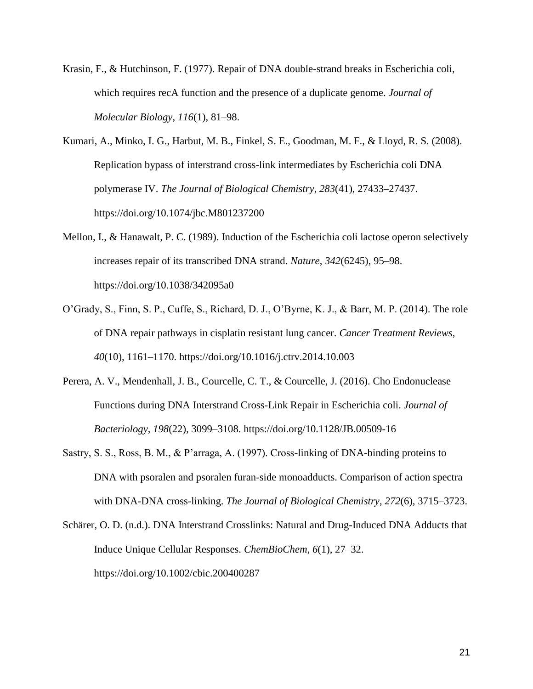- Krasin, F., & Hutchinson, F. (1977). Repair of DNA double-strand breaks in Escherichia coli, which requires recA function and the presence of a duplicate genome. *Journal of Molecular Biology*, *116*(1), 81–98.
- Kumari, A., Minko, I. G., Harbut, M. B., Finkel, S. E., Goodman, M. F., & Lloyd, R. S. (2008). Replication bypass of interstrand cross-link intermediates by Escherichia coli DNA polymerase IV. *The Journal of Biological Chemistry*, *283*(41), 27433–27437. https://doi.org/10.1074/jbc.M801237200
- Mellon, I., & Hanawalt, P. C. (1989). Induction of the Escherichia coli lactose operon selectively increases repair of its transcribed DNA strand. *Nature*, *342*(6245), 95–98. https://doi.org/10.1038/342095a0
- O'Grady, S., Finn, S. P., Cuffe, S., Richard, D. J., O'Byrne, K. J., & Barr, M. P. (2014). The role of DNA repair pathways in cisplatin resistant lung cancer. *Cancer Treatment Reviews*, *40*(10), 1161–1170. https://doi.org/10.1016/j.ctrv.2014.10.003
- Perera, A. V., Mendenhall, J. B., Courcelle, C. T., & Courcelle, J. (2016). Cho Endonuclease Functions during DNA Interstrand Cross-Link Repair in Escherichia coli. *Journal of Bacteriology*, *198*(22), 3099–3108. https://doi.org/10.1128/JB.00509-16
- Sastry, S. S., Ross, B. M., & P'arraga, A. (1997). Cross-linking of DNA-binding proteins to DNA with psoralen and psoralen furan-side monoadducts. Comparison of action spectra with DNA-DNA cross-linking. *The Journal of Biological Chemistry*, *272*(6), 3715–3723.
- Schärer, O. D. (n.d.). DNA Interstrand Crosslinks: Natural and Drug-Induced DNA Adducts that Induce Unique Cellular Responses. *ChemBioChem*, *6*(1), 27–32. https://doi.org/10.1002/cbic.200400287